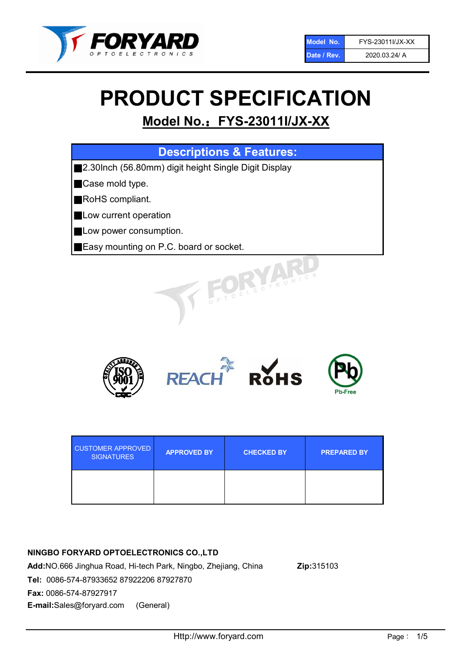

# PRODUCT SPECIFICATION

# Model No.: FYS-23011I/JX-XX

| <b>Descriptions &amp; Features:</b>                  |
|------------------------------------------------------|
| 2.30lnch (56.80mm) digit height Single Digit Display |
| Case mold type.                                      |
| RoHS compliant.                                      |
| Low current operation                                |
| Low power consumption.                               |
| Easy mounting on P.C. board or socket.               |
| ELECTRONIC                                           |



| <b>CUSTOMER APPROVED</b><br><b>SIGNATURES</b> | <b>APPROVED BY</b> | <b>CHECKED BY</b> | <b>PREPARED BY</b> |
|-----------------------------------------------|--------------------|-------------------|--------------------|
|                                               |                    |                   |                    |

## NINGBO FORYARD OPTOELECTRONICS CO.,LTD

Add:NO.666 Jinghua Road, Hi-tech Park, Ningbo, Zhejiang, China Zip:315103 Tel: 0086-574-87933652 87922206 87927870 Fax: 0086-574-87927917 E-mail:Sales@foryard.com (General)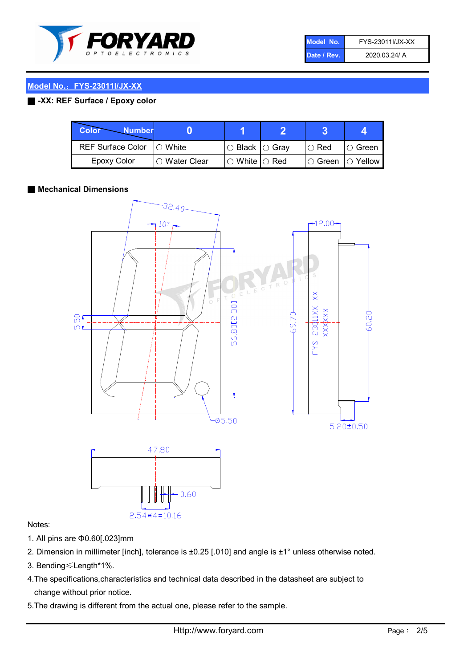

| Model No.   | FYS-23011I/JX-XX |
|-------------|------------------|
| Date / Rev. | 2020.03.24/ A    |

#### Model No.: FYS-23011I/JX-XX

#### ■ -XX: REF Surface / Epoxy color

| Color<br><b>Number</b>      |                        |                                                   |             |               |
|-----------------------------|------------------------|---------------------------------------------------|-------------|---------------|
| REF Surface Color   O White |                        | ○ Black  ○ Gray                                   | $\circ$ Red | $\circ$ Green |
| Epoxy Color                 | $\bigcirc$ Water Clear | $\mathbin{\varcap}$ White $\mathbin{\varcap}$ Red | I⊖ Green.   | I∩ Yellow     |

#### ■ Mechanical Dimensions



#### Notes:

- 1. All pins are Φ0.60[.023]mm
- 2. Dimension in millimeter [inch], tolerance is ±0.25 [.010] and angle is ±1° unless otherwise noted.
- 3. Bending≤Length\*1%.
- 4.The specifications,characteristics and technical data described in the datasheet are subject to change without prior notice.
- 5.The drawing is different from the actual one, please refer to the sample.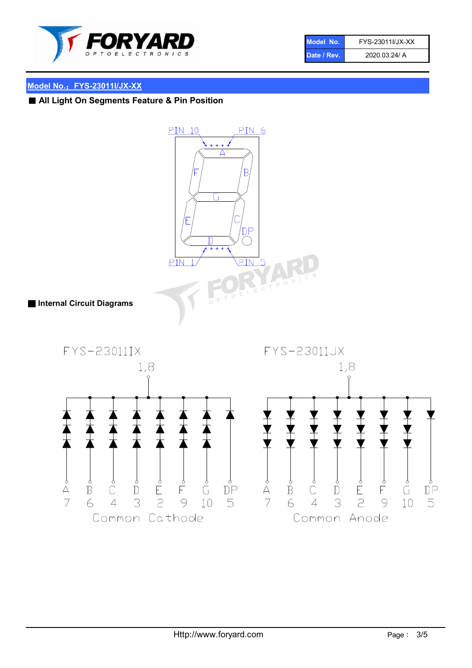

| Model No.   | FYS-23011I/JX-XX |
|-------------|------------------|
| Date / Rev. | 2020.03.24/ A    |

# Model No.: FYS-23011I/JX-XX

■ All Light On Segments Feature & Pin Position

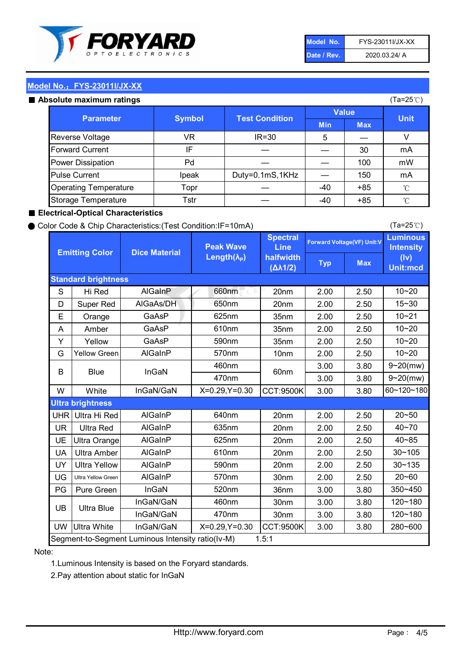

| Model No.   | FYS-23011I/JX-XX |
|-------------|------------------|
| Date / Rev. | 2020.03.24/ A    |

(Ta=25℃)

#### Model No.: FYS-23011I/JX-XX

#### Absolute maximum

| solute maximum ratings       |               |                       |              |            | (Ta=25℃)    |
|------------------------------|---------------|-----------------------|--------------|------------|-------------|
| <b>Parameter</b>             | <b>Symbol</b> | <b>Test Condition</b> | <b>Value</b> |            |             |
|                              |               |                       | <b>Min</b>   | <b>Max</b> | <b>Unit</b> |
| Reverse Voltage              | VR            | $IR = 30$             | 5            |            |             |
| <b>Forward Current</b>       | ΙF            |                       |              | 30         | mA          |
| Power Dissipation            | Pd            |                       |              | 100        | mW          |
| <b>Pulse Current</b>         | Ipeak         | Duty=0.1mS,1KHz       |              | 150        | mA          |
| <b>Operating Temperature</b> | Topr          |                       | $-40$        | $+85$      | °C          |
| Storage Temperature          | Tstr          |                       | $-40$        | $+85$      | °C          |

#### ■ Electrical-Optical Characteristics

#### ● Color Code & Chip Characteristics:(Test Condition:IF=10mA)

Typ Max S | Hi $\textsf{Red}$  | AlGaInP | 660nm LE 20nm | 2.00 | 2.50 D | Super Red | AIGaAs/DH | 650nm | 20nm | 2.00 | 2.50 E | Orange | GaAsP | 625nm | 35nm | 2.00 | 2.50 A | Amber | GaAsP | 610nm | 35nm | 2.00 | 2.50 Y | Yellow | GaAsP | 590nm | 35nm | 2.00 | 2.50 G Yellow Green AIGaInP | 570nm | 10nm | 2.00 | 2.50 3.00 3.80 3.00 3.80 W | White | InGaN/GaN | X=0.29,Y=0.30 |CCT:9500K| 3.00 | 3.80 UHR Ultra Hi Red | AlGaInP | 640nm | 20nm | 2.00 | 2.50 UR | Ultra Red | AlGaInP | 635nm | 20nm | 2.00 | 2.50 UE Ultra Orange | AIGaInP | 625nm | 20nm | 2.00 | 2.50 UA Ultra Amber | AIGaInP | 610nm | 20nm | 2.00 | 2.50  $UV$  Ultra Yellow  $\vert$  AlGaInP  $\vert$  590nm  $\vert$  20nm  $\vert$  2.00  $\vert$  2.50  $\text{UG}$  Ultra Yellow Green | AIGaInP | 570nm | 30nm | 2.00 | 2.50 PG Pure Green | InGaN | 520nm | 36nm | 3.00 | 3.80 30nm 3.00 3.80 30nm 3.00 3.80 UW |Ultra White | InGaN/GaN | X=0.29,Y=0.30 |CCT:9500K| 3.00 | 3.80 40~85 60~120~180 40~70 Segment-to-Segment Luminous Intensity ratio(Iv-M) 1.5:1 610nm 9~20(mw) 350~450 470nm 120~180 120~180 Ultra Blue InGaN/GaN InGaN/GaN 9~20(mw) 20~50 280~600 570nm | 30nm | 2.00 | 2.50 | 20~60 470nm 590nm InGaN/GaN B Blue I InGaN 570nm | 10nm | 2.00 | 2.50 | 10~20 30~105 30~135 460nm 520nm Ultra brightness **AlGaInP** AlGaInP 60nm AlGaInP 640nm Peak Wave Length $(\lambda_{\rm P})$ UB 460nm 635nm AlGaInP AlGaInP AlGaInP InGaN/GaN AlGaInP 10~20 Luminous **Intensity** (Iv) Unit:mcd AlGainP 660nm GaAsP GaAsP AlGaAs/DH **Spectral** Line halfwidth (∆λ1/2) 10~20 Standard brightness Forward Voltage(VF) Unit:V 15~30 10~20 625nm GaAsP 590nm **Emitting Color Dice Material** 10~21 610nm

#### Note:

1.Luminous Intensity is based on the Foryard standards.

2.Pay attention about static for InGaN